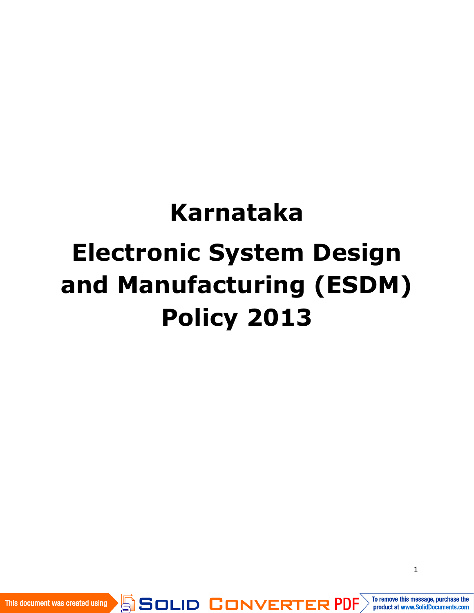# **Karnataka Electronic System Design and Manufacturing (ESDM) Policy 2013**

SOLID CONVERTER PDF

This document was created using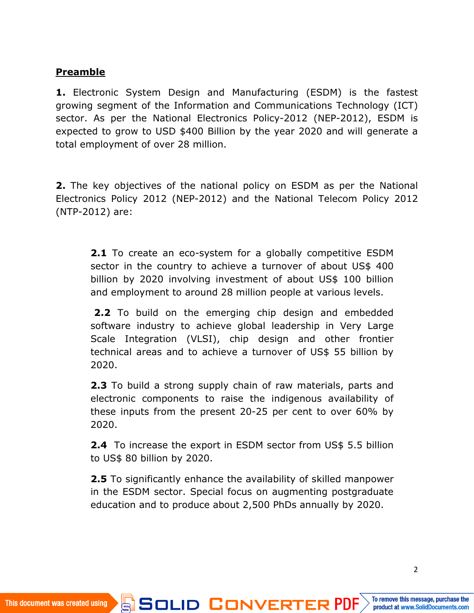#### **Preamble**

**1.** Electronic System Design and Manufacturing (ESDM) is the fastest growing segment of the Information and Communications Technology (ICT) sector. As per the National Electronics Policy-2012 (NEP-2012), ESDM is expected to grow to USD \$400 Billion by the year 2020 and will generate a total employment of over 28 million.

**2.** The key objectives of the national policy on ESDM as per the National Electronics Policy 2012 (NEP-2012) and the National Telecom Policy 2012 (NTP-2012) are:

**2.1** To create an eco-system for a globally competitive ESDM sector in the country to achieve a turnover of about US\$ 400 billion by 2020 involving investment of about US\$ 100 billion and employment to around 28 million people at various levels.

**2.2** To build on the emerging chip design and embedded software industry to achieve global leadership in Very Large Scale Integration (VLSI), chip design and other frontier technical areas and to achieve a turnover of US\$ 55 billion by 2020.

**2.3** To build a strong supply chain of raw materials, parts and electronic components to raise the indigenous availability of these inputs from the present 20-25 per cent to over 60% by 2020.

**2.4** To increase the export in ESDM sector from US\$ 5.5 billion to US\$ 80 billion by 2020.

**2.5** To significantly enhance the availability of skilled manpower in the ESDM sector. Special focus on augmenting postgraduate education and to produce about 2,500 PhDs annually by 2020.

**SOLID CONVERTER PDF**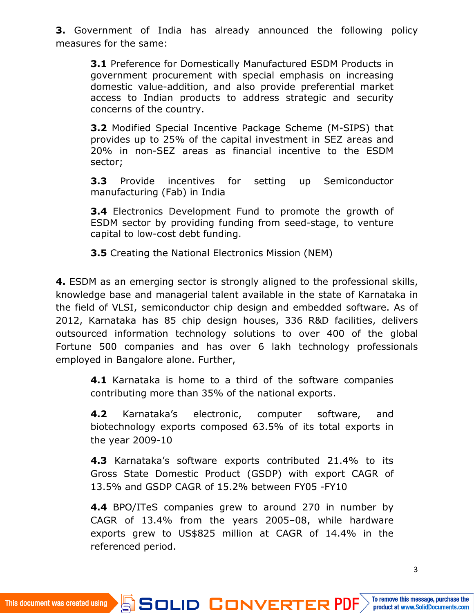**3.** Government of India has already announced the following policy measures for the same:

**3.1** Preference for Domestically Manufactured ESDM Products in government procurement with special emphasis on increasing domestic value-addition, and also provide preferential market access to Indian products to address strategic and security concerns of the country.

**3.2** Modified Special Incentive Package Scheme (M-SIPS) that provides up to 25% of the capital investment in SEZ areas and 20% in non-SEZ areas as financial incentive to the ESDM sector;

**3.3** Provide incentives for setting up Semiconductor manufacturing (Fab) in India

**3.4** Electronics Development Fund to promote the growth of ESDM sector by providing funding from seed-stage, to venture capital to low-cost debt funding.

**3.5** Creating the National Electronics Mission (NEM)

**4.** ESDM as an emerging sector is strongly aligned to the professional skills, knowledge base and managerial talent available in the state of Karnataka in the field of VLSI, semiconductor chip design and embedded software. As of 2012, Karnataka has 85 chip design houses, 336 R&D facilities, delivers outsourced information technology solutions to over 400 of the global Fortune 500 companies and has over 6 lakh technology professionals employed in Bangalore alone. Further,

**4.1** Karnataka is home to a third of the software companies contributing more than 35% of the national exports.

**4.2** Karnataka's electronic, computer software, and biotechnology exports composed 63.5% of its total exports in the year 2009-10

**4.3** Karnataka's software exports contributed 21.4% to its Gross State Domestic Product (GSDP) with export CAGR of 13.5% and GSDP CAGR of 15.2% between FY05 -FY10

**4.4** BPO/ITeS companies grew to around 270 in number by CAGR of 13.4% from the years 2005–08, while hardware exports grew to US\$825 million at CAGR of 14.4% in the referenced period.

**SOLID CONVERTER PDF** 

Ġ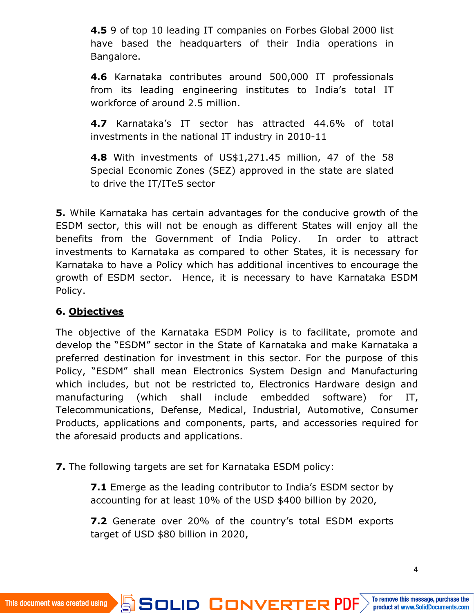**4.5** 9 of top 10 leading IT companies on Forbes Global 2000 list have based the headquarters of their India operations in Bangalore.

**4.6** Karnataka contributes around 500,000 IT professionals from its leading engineering institutes to India's total IT workforce of around 2.5 million.

**4.7** Karnataka's IT sector has attracted 44.6% of total investments in the national IT industry in 2010-11

**4.8** With investments of US\$1,271.45 million, 47 of the 58 Special Economic Zones (SEZ) approved in the state are slated to drive the IT/ITeS sector

**5.** While Karnataka has certain advantages for the conducive growth of the ESDM sector, this will not be enough as different States will enjoy all the benefits from the Government of India Policy. In order to attract investments to Karnataka as compared to other States, it is necessary for Karnataka to have a Policy which has additional incentives to encourage the growth of ESDM sector. Hence, it is necessary to have Karnataka ESDM Policy.

# **6. Objectives**

The objective of the Karnataka ESDM Policy is to facilitate, promote and develop the "ESDM" sector in the State of Karnataka and make Karnataka a preferred destination for investment in this sector. For the purpose of this Policy, "ESDM" shall mean Electronics System Design and Manufacturing which includes, but not be restricted to, Electronics Hardware design and manufacturing (which shall include embedded software) for IT, Telecommunications, Defense, Medical, Industrial, Automotive, Consumer Products, applications and components, parts, and accessories required for the aforesaid products and applications.

**7.** The following targets are set for Karnataka ESDM policy:

**7.1** Emerge as the leading contributor to India's ESDM sector by accounting for at least 10% of the USD \$400 billion by 2020,

**7.2** Generate over 20% of the country's total ESDM exports target of USD \$80 billion in 2020,

**SOLID CONVERTER PDF** 

Ġ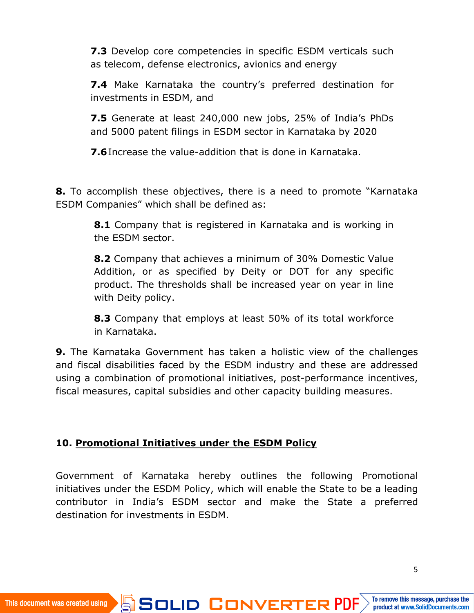**7.3** Develop core competencies in specific ESDM verticals such as telecom, defense electronics, avionics and energy

**7.4** Make Karnataka the country's preferred destination for investments in ESDM, and

**7.5** Generate at least 240,000 new jobs, 25% of India's PhDs and 5000 patent filings in ESDM sector in Karnataka by 2020

**7.6**Increase the value-addition that is done in Karnataka.

**8.** To accomplish these objectives, there is a need to promote "Karnataka ESDM Companies" which shall be defined as:

> **8.1** Company that is registered in Karnataka and is working in the ESDM sector.

> **8.2** Company that achieves a minimum of 30% Domestic Value Addition, or as specified by Deity or DOT for any specific product. The thresholds shall be increased year on year in line with Deity policy.

> **8.3** Company that employs at least 50% of its total workforce in Karnataka.

**9.** The Karnataka Government has taken a holistic view of the challenges and fiscal disabilities faced by the ESDM industry and these are addressed using a combination of promotional initiatives, post-performance incentives, fiscal measures, capital subsidies and other capacity building measures.

#### **10. Promotional Initiatives under the ESDM Policy**

Government of Karnataka hereby outlines the following Promotional initiatives under the ESDM Policy, which will enable the State to be a leading contributor in India's ESDM sector and make the State a preferred destination for investments in ESDM.

**SOLID CONVERTER PDF**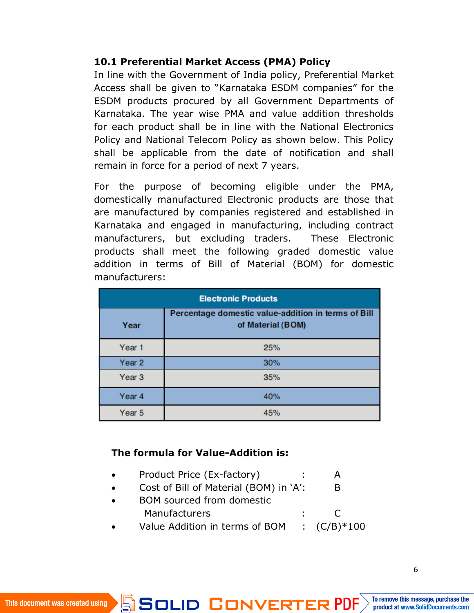#### **10.1 Preferential Market Access (PMA) Policy**

In line with the Government of India policy, Preferential Market Access shall be given to "Karnataka ESDM companies" for the ESDM products procured by all Government Departments of Karnataka. The year wise PMA and value addition thresholds for each product shall be in line with the National Electronics Policy and National Telecom Policy as shown below. This Policy shall be applicable from the date of notification and shall remain in force for a period of next 7 years.

For the purpose of becoming eligible under the PMA, domestically manufactured Electronic products are those that are manufactured by companies registered and established in Karnataka and engaged in manufacturing, including contract manufacturers, but excluding traders. These Electronic products shall meet the following graded domestic value addition in terms of Bill of Material (BOM) for domestic manufacturers:

| <b>Electronic Products</b> |                                                                          |
|----------------------------|--------------------------------------------------------------------------|
| Year                       | Percentage domestic value-addition in terms of Bill<br>of Material (BOM) |
| Year 1                     | 25%                                                                      |
| Year <sub>2</sub>          | 30%                                                                      |
| Year <sub>3</sub>          | 35%                                                                      |
| Year <sub>4</sub>          | 40%                                                                      |
| Year <sub>5</sub>          | 45%                                                                      |

#### **The formula for Value-Addition is:**

- Product Price (Ex-factory) : A
- Cost of Bill of Material (BOM) in 'A': B
- BOM sourced from domestic Manufacturers : C
- Value Addition in terms of BOM  $\cdot$  (C/B)\*100

**SOLID CONVERTER PDF** 

ë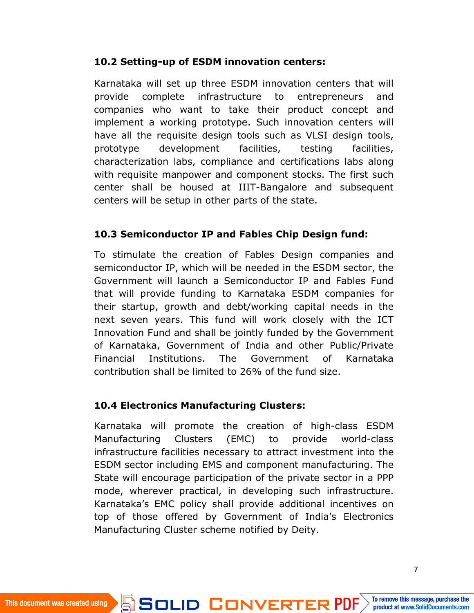#### **10.2 Setting-up of ESDM innovation centers:**

Karnataka will set up three ESDM innovation centers that will provide complete infrastructure to entrepreneurs and companies who want to take their product concept and implement a working prototype. Such innovation centers will have all the requisite design tools such as VLSI design tools, prototype development facilities, testing facilities, characterization labs, compliance and certifications labs along with requisite manpower and component stocks. The first such center shall be housed at IIIT-Bangalore and subsequent centers will be setup in other parts of the state.

#### **10.3 Semiconductor IP and Fables Chip Design fund:**

To stimulate the creation of Fables Design companies and semiconductor IP, which will be needed in the ESDM sector, the Government will launch a Semiconductor IP and Fables Fund that will provide funding to Karnataka ESDM companies for their startup, growth and debt/working capital needs in the next seven years. This fund will work closely with the ICT Innovation Fund and shall be jointly funded by the Government of Karnataka, Government of India and other Public/Private Financial Institutions. The Government of Karnataka contribution shall be limited to 26% of the fund size.

#### **10.4 Electronics Manufacturing Clusters:**

Karnataka will promote the creation of high-class ESDM Manufacturing Clusters (EMC) to provide world-class infrastructure facilities necessary to attract investment into the ESDM sector including EMS and component manufacturing. The State will encourage participation of the private sector in a PPP mode, wherever practical, in developing such infrastructure. Karnataka's EMC policy shall provide additional incentives on top of those offered by Government of India's Electronics Manufacturing Cluster scheme notified by Deity.

SOLID CONVERTER PDF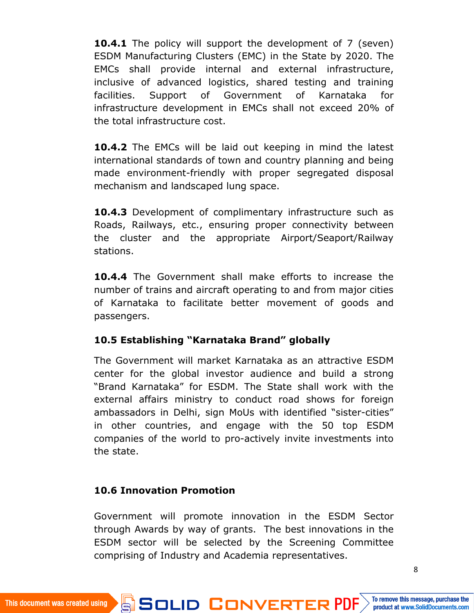**10.4.1** The policy will support the development of 7 (seven) ESDM Manufacturing Clusters (EMC) in the State by 2020. The EMCs shall provide internal and external infrastructure, inclusive of advanced logistics, shared testing and training facilities. Support of Government of Karnataka for infrastructure development in EMCs shall not exceed 20% of the total infrastructure cost.

**10.4.2** The EMCs will be laid out keeping in mind the latest international standards of town and country planning and being made environment-friendly with proper segregated disposal mechanism and landscaped lung space.

**10.4.3** Development of complimentary infrastructure such as Roads, Railways, etc., ensuring proper connectivity between the cluster and the appropriate Airport/Seaport/Railway stations.

**10.4.4** The Government shall make efforts to increase the number of trains and aircraft operating to and from major cities of Karnataka to facilitate better movement of goods and passengers.

#### **10.5 Establishing "Karnataka Brand" globally**

The Government will market Karnataka as an attractive ESDM center for the global investor audience and build a strong "Brand Karnataka" for ESDM. The State shall work with the external affairs ministry to conduct road shows for foreign ambassadors in Delhi, sign MoUs with identified "sister-cities" in other countries, and engage with the 50 top ESDM companies of the world to pro-actively invite investments into the state.

#### **10.6 Innovation Promotion**

Ġ

Government will promote innovation in the ESDM Sector through Awards by way of grants. The best innovations in the ESDM sector will be selected by the Screening Committee comprising of Industry and Academia representatives.

**SOLID CONVERTER PDF**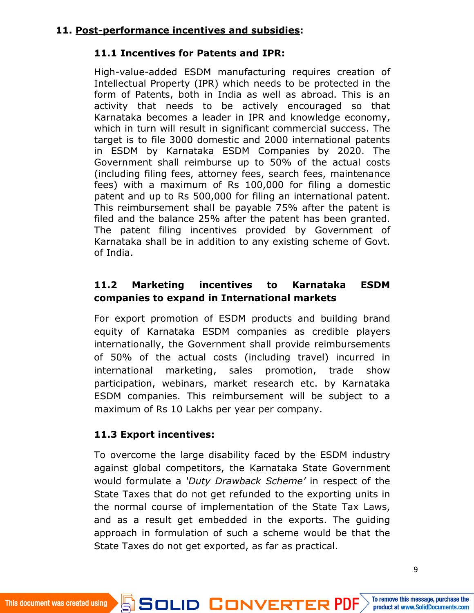# **11.1 Incentives for Patents and IPR:**

High-value-added ESDM manufacturing requires creation of Intellectual Property (IPR) which needs to be protected in the form of Patents, both in India as well as abroad. This is an activity that needs to be actively encouraged so that Karnataka becomes a leader in IPR and knowledge economy, which in turn will result in significant commercial success. The target is to file 3000 domestic and 2000 international patents in ESDM by Karnataka ESDM Companies by 2020. The Government shall reimburse up to 50% of the actual costs (including filing fees, attorney fees, search fees, maintenance fees) with a maximum of Rs 100,000 for filing a domestic patent and up to Rs 500,000 for filing an international patent. This reimbursement shall be payable 75% after the patent is filed and the balance 25% after the patent has been granted. The patent filing incentives provided by Government of Karnataka shall be in addition to any existing scheme of Govt. of India.

# **11.2 Marketing incentives to Karnataka ESDM companies to expand in International markets**

For export promotion of ESDM products and building brand equity of Karnataka ESDM companies as credible players internationally, the Government shall provide reimbursements of 50% of the actual costs (including travel) incurred in international marketing, sales promotion, trade show participation, webinars, market research etc. by Karnataka ESDM companies. This reimbursement will be subject to a maximum of Rs 10 Lakhs per year per company.

# **11.3 Export incentives:**

To overcome the large disability faced by the ESDM industry against global competitors, the Karnataka State Government would formulate a *'Duty Drawback Scheme'* in respect of the State Taxes that do not get refunded to the exporting units in the normal course of implementation of the State Tax Laws, and as a result get embedded in the exports. The guiding approach in formulation of such a scheme would be that the State Taxes do not get exported, as far as practical.

SOLID CONVERTER PDF